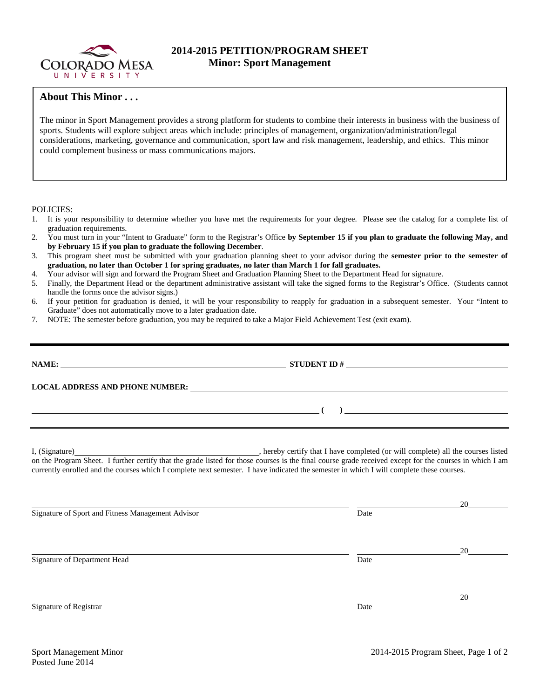

## **2014-2015 PETITION/PROGRAM SHEET Minor: Sport Management**

## **About This Minor . . .**

The minor in Sport Management provides a strong platform for students to combine their interests in business with the business of sports. Students will explore subject areas which include: principles of management, organization/administration/legal considerations, marketing, governance and communication, sport law and risk management, leadership, and ethics. This minor could complement business or mass communications majors.

POLICIES:

- 1. It is your responsibility to determine whether you have met the requirements for your degree. Please see the catalog for a complete list of graduation requirements.
- 2. You must turn in your "Intent to Graduate" form to the Registrar's Office **by September 15 if you plan to graduate the following May, and by February 15 if you plan to graduate the following December**.
- 3. This program sheet must be submitted with your graduation planning sheet to your advisor during the **semester prior to the semester of graduation, no later than October 1 for spring graduates, no later than March 1 for fall graduates.**
- 4. Your advisor will sign and forward the Program Sheet and Graduation Planning Sheet to the Department Head for signature.
- 5. Finally, the Department Head or the department administrative assistant will take the signed forms to the Registrar's Office. (Students cannot handle the forms once the advisor signs.)
- 6. If your petition for graduation is denied, it will be your responsibility to reapply for graduation in a subsequent semester. Your "Intent to Graduate" does not automatically move to a later graduation date.
- 7. NOTE: The semester before graduation, you may be required to take a Major Field Achievement Test (exit exam).

| ) and the contract of the contract of $\mathcal{L}$                                                                                                                                                                                                                                                 |
|-----------------------------------------------------------------------------------------------------------------------------------------------------------------------------------------------------------------------------------------------------------------------------------------------------|
| on the Program Sheet. I further certify that the grade listed for those courses is the final course grade received except for the courses in which I am<br>currently enrolled and the courses which I complete next semester. I have indicated the semester in which I will complete these courses. |

 20 Signature of Sport and Fitness Management Advisor Date 20 Signature of Department Head Date 20 Signature of Registrar Date Date and Security and Security and Security and Security and Security and Security and Security and Security and Security and Security and Security and Security and Security and Security and Sec